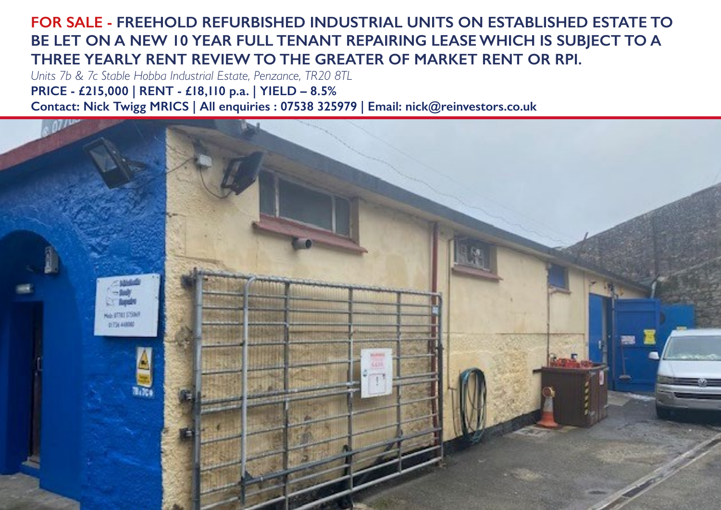#### **FOR SALE - FREEHOLD REFURBISHED INDUSTRIAL UNITS ON ESTABLISHED ESTATE TO BE LET ON A NEW 10 YEAR FULL TENANT REPAIRING LEASE WHICH IS SUBJECT TO A THREE YEARLY RENT REVIEW TO THE GREATER OF MARKET RENT OR RPI.**

*Units 7b & 7c Stable Hobba Industrial Estate, Penzance, TR20 8TL* **PRICE - £215,000 | RENT - £18,110 p.a. | YIELD – 8.5% Contact: Nick Twigg MRICS | All enquiries : 07538 325979 | Email: nick@reinvestors.co.uk**

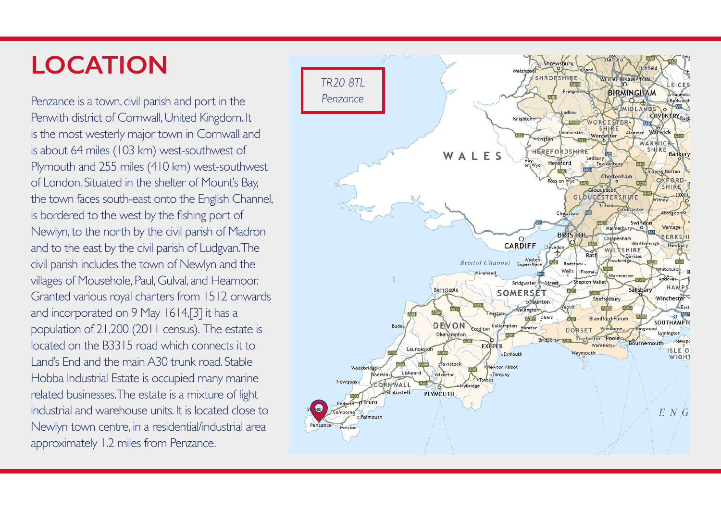# **LOCATION**

Penzance is a town, civil parish and port in the Penwith district of Cornwall, United Kingdom. It is the most westerly major town in Cornwall and is about 64 miles (103 km) west-southwest of Plymouth and 255 miles (410 km) west-southwest of London. Situated in the shelter of Mount's Bay, the town faces south-east onto the English Channel, is bordered to the west by the fishing port of Newlyn, to the north by the civil parish of Madron and to the east by the civil parish of Ludgvan. The civil parish includes the town of Newlyn and the villages of Mousehole, Paul, Gulval, and Heamoor. Granted various royal charters from 1512 onwards and incorporated on 9 May 1614,[3] it has a population of 21,200 (2011 census). The estate is located on the B3315 road which connects it to Land's End and the main A30 trunk road. Stable Hobba Industrial Estate is occupied many marine related businesses. The estate is a mixture of light industrial and warehouse units. It is located close to Newlyn town centre, in a residential/industrial area approximately 1.2 miles from Penzance.

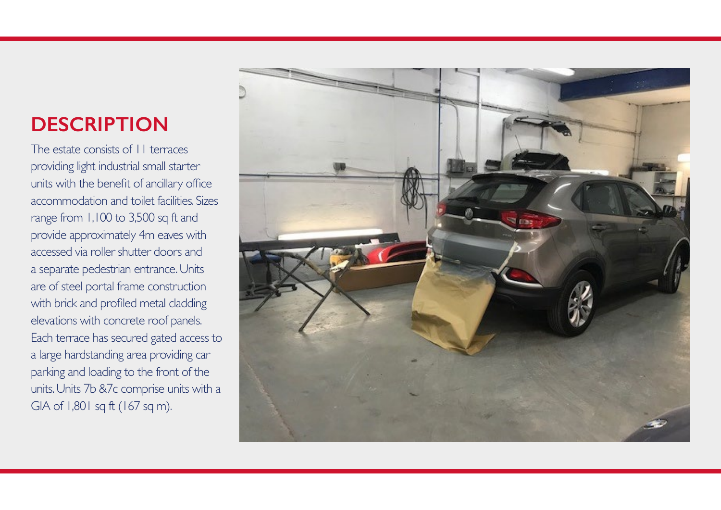# **DESCRIPTION**

The estate consists of 11 terraces providing light industrial small starter units with the benefit of ancillary office accommodation and toilet facilities. Sizes range from 1,100 to 3,500 sq ft and provide approximately 4m eaves with accessed via roller shutter doors and a separate pedestrian entrance. Units are of steel portal frame construction with brick and profiled metal cladding elevations with concrete roof panels. Each terrace has secured gated access to a large hardstanding area providing car parking and loading to the front of the units. Units 7b &7c comprise units with a GIA of 1,801 sq ft (167 sq m).

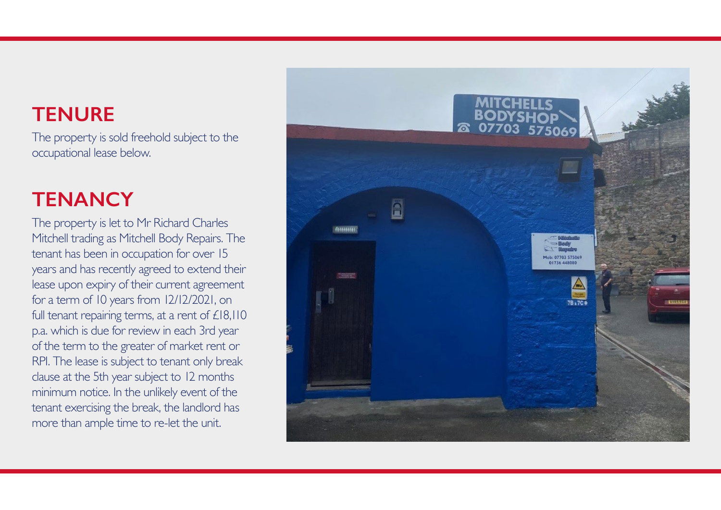## **TENURE**

The property is sold freehold subject to the occupational lease below.

# **TENANCY**

The property is let to Mr Richard Charles Mitchell trading as Mitchell Body Repairs. The tenant has been in occupation for over 15 years and has recently agreed to extend their lease upon expiry of their current agreement for a term of 10 years from 12/12/2021, on full tenant repairing terms, at a rent of £18,110 p.a. which is due for review in each 3rd year of the term to the greater of market rent or RPI. The lease is subject to tenant only break clause at the 5th year subject to 12 months minimum notice. In the unlikely event of the tenant exercising the break, the landlord has more than ample time to re-let the unit.